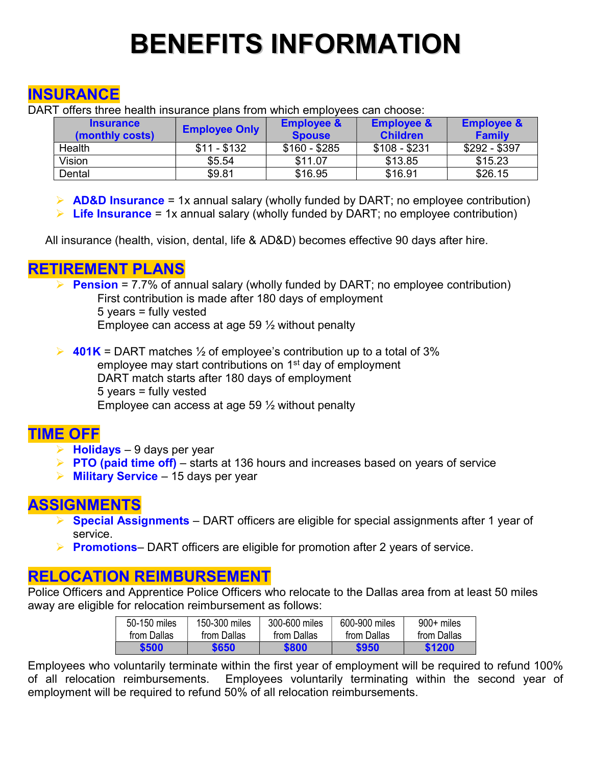# BENEFITS INFORMATION

## **INSURANCE**

DART offers three health insurance plans from which employees can choose:

|        | <b>Insurance</b><br>(monthly costs) | <b>Employee Only</b> | <b>Employee &amp;</b><br><b>Spouse</b> | <b>Employee &amp;</b><br><b>Children</b> | <b>Employee &amp;</b><br><b>Family</b> |
|--------|-------------------------------------|----------------------|----------------------------------------|------------------------------------------|----------------------------------------|
| Health |                                     | $$11 - $132$         | $$160 - $285$                          | $$108 - $231$                            | $$292 - $397$                          |
| Vision |                                     | \$5.54               | \$11.07                                | \$13.85                                  | \$15.23                                |
| Dental |                                     | \$9.81               | \$16.95                                | \$16.91                                  | \$26.15                                |

 $\triangleright$  **AD&D Insurance** = 1x annual salary (wholly funded by DART; no employee contribution)

 $\triangleright$  Life Insurance = 1x annual salary (wholly funded by DART; no employee contribution)

All insurance (health, vision, dental, life & AD&D) becomes effective 90 days after hire.

#### RETIREMENT PLANS

Pension = 7.7% of annual salary (wholly funded by DART; no employee contribution) First contribution is made after 180 days of employment 5 years = fully vested

Employee can access at age 59 ½ without penalty

 $\triangleright$  401K = DART matches  $\frac{1}{2}$  of employee's contribution up to a total of 3% employee may start contributions on 1<sup>st</sup> day of employment DART match starts after 180 days of employment 5 years = fully vested Employee can access at age 59 ½ without penalty

### TIME OFF

- $\triangleright$  Holidays 9 days per year
- $\triangleright$  PTO (paid time off) starts at 136 hours and increases based on years of service
- $\triangleright$  Military Service 15 days per year

### ASSIGNMENTS

- $\triangleright$  Special Assignments DART officers are eligible for special assignments after 1 year of service.
- **Promotions** DART officers are eligible for promotion after 2 years of service.

### RELOCATION REIMBURSEMENT

Police Officers and Apprentice Police Officers who relocate to the Dallas area from at least 50 miles away are eligible for relocation reimbursement as follows:

| 50-150 miles | 150-300 miles | 300-600 miles | 600-900 miles | $900+$ miles |
|--------------|---------------|---------------|---------------|--------------|
| from Dallas  | from Dallas   | from Dallas   | from Dallas   | from Dallas  |
| \$500        | \$650         | \$800         | \$950         | \$1200       |

Employees who voluntarily terminate within the first year of employment will be required to refund 100% of all relocation reimbursements. Employees voluntarily terminating within the second year of employment will be required to refund 50% of all relocation reimbursements.